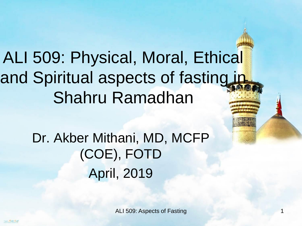#### ALI 509: Physical, Moral, Ethical and Spiritual aspects of fasting in Shahru Ramadhan

Dr. Akber Mithani, MD, MCFP (COE), FOTD April, 2019

ALI 509: Aspects of Fasting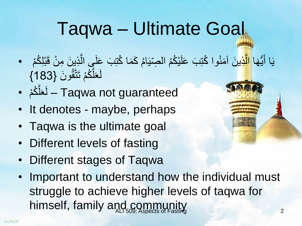# Taqwa – Ultimate Goal

- يَا أَيُّهَا <mark>الَّذِينَ آمَنُوا كُتِبَ عَلَيْكُمُ الصِ</mark>ّيَامُ كَمَا كُتِبَ عَلَى الَّذِينَ مِنْ قَبْلِكُمْ •  $\ddot{\bullet}$ و<br>⊣ َّ ن<br>الم ْ َّ ء<br>م  $\frac{1}{2}$ لَعَلَّكُمْ نَتَّقُونَ {183} َّ
- م ُكْ ل َعَل Taqwa not guaranteed َّ
- It denotes maybe, perhaps
- Taqwa is the ultimate goal
- Different levels of fasting
- Different stages of Taqwa



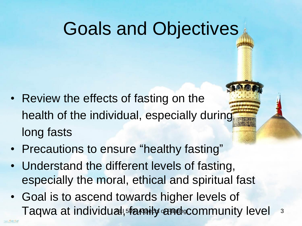#### Goals and Objectives

- Review the effects of fasting on the health of the individual, especially during long fasts
- Precautions to ensure "healthy fasting"
- Understand the different levels of fasting, especially the moral, ethical and spiritual fast
- Goal is to ascend towards higher levels of Taqwa at individual, of a mily and community level 3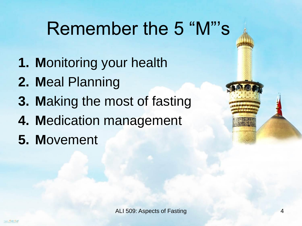## Remember the 5 "M"'s

- **1. M**onitoring your health
- **2. M**eal Planning
- **3. M**aking the most of fasting
- **4. M**edication management
- **5. M**ovement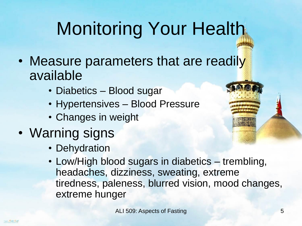# Monitoring Your Health

- Measure parameters that are readily available
	- Diabetics Blood sugar
	- Hypertensives Blood Pressure
	- Changes in weight
- Warning signs
	- Dehydration
	- Low/High blood sugars in diabetics trembling, headaches, dizziness, sweating, extreme tiredness, paleness, blurred vision, mood changes, extreme hunger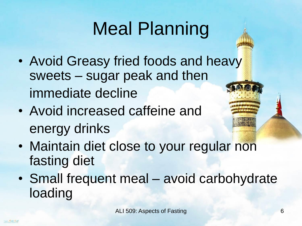- Avoid Greasy fried foods and heavy sweets – sugar peak and then immediate decline
- Avoid increased caffeine and energy drinks
- Maintain diet close to your regular non fasting diet
- Small frequent meal avoid carbohydrate loading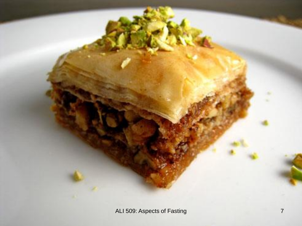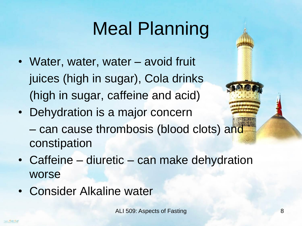- Water, water, water avoid fruit juices (high in sugar), Cola drinks (high in sugar, caffeine and acid)
- Dehydration is a major concern
	- can cause thrombosis (blood clots) and constipation
- Caffeine diuretic can make dehydration worse
- Consider Alkaline water

ALI 509: Aspects of Fasting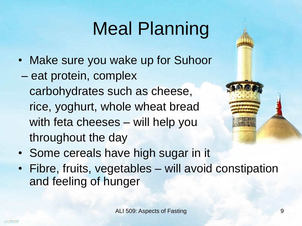- Make sure you wake up for Suhoor
- eat protein, complex carbohydrates such as cheese, rice, yoghurt, whole wheat bread with feta cheeses – will help you throughout the day



- Some cereals have high sugar in it
- Fibre, fruits, vegetables will avoid constipation and feeling of hunger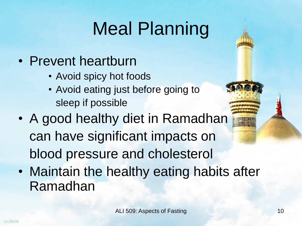- Prevent heartburn
	- Avoid spicy hot foods
	- Avoid eating just before going to sleep if possible
- A good healthy diet in Ramadhan can have significant impacts on blood pressure and cholesterol
- Maintain the healthy eating habits after Ramadhan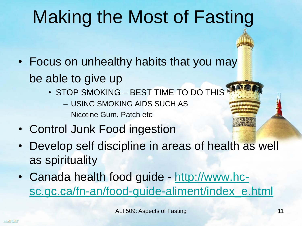# Making the Most of Fasting

- Focus on unhealthy habits that you may be able to give up
	- STOP SMOKING BEST TIME TO DO THIS – USING SMOKING AIDS SUCH AS Nicotine Gum, Patch etc
- Control Junk Food ingestion
- Develop self discipline in areas of health as well as spirituality
- Canada health food guide http://www.hc[sc.gc.ca/fn-an/food-guide-aliment/index\\_e.html](http://www.hc-sc.gc.ca/fn-an/food-guide-aliment/index_e.html)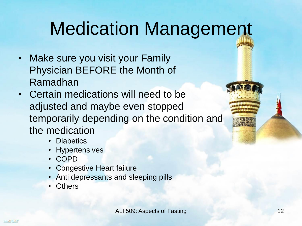# Medication Management

- Make sure you visit your Family Physician BEFORE the Month of Ramadhan
- Certain medications will need to be adjusted and maybe even stopped temporarily depending on the condition and the medication
	- Diabetics
	- **Hypertensives**
	- COPD
	- Congestive Heart failure
	- Anti depressants and sleeping pills
	- **Others**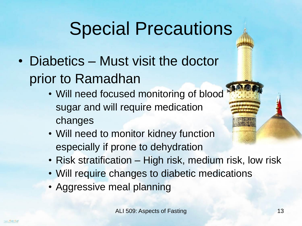# Special Precautions

- Diabetics Must visit the doctor prior to Ramadhan
	- Will need focused monitoring of blood sugar and will require medication changes
	- Will need to monitor kidney function especially if prone to dehydration
	- Risk stratification High risk, medium risk, low risk
	- Will require changes to diabetic medications
	- Aggressive meal planning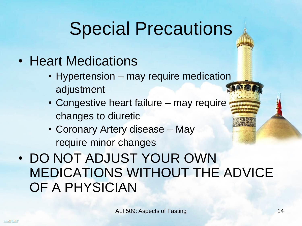# Special Precautions

- Heart Medications
	- Hypertension may require medication adjustment
	- Congestive heart failure may require changes to diuretic
	- Coronary Artery disease May require minor changes
- DO NOT ADJUST YOUR OWN MEDICATIONS WITHOUT THE ADVICE OF A PHYSICIAN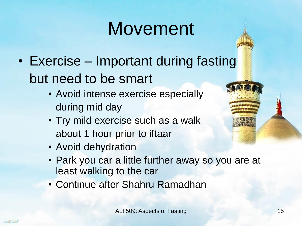#### Movement

- Exercise Important during fasting but need to be smart
	- Avoid intense exercise especially during mid day
	- Try mild exercise such as a walk about 1 hour prior to iftaar
	- Avoid dehydration
	- Park you car a little further away so you are at least walking to the car
	- Continue after Shahru Ramadhan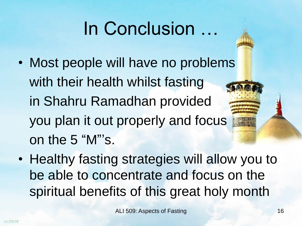# In Conclusion …

- Most people will have no problems with their health whilst fasting in Shahru Ramadhan provided you plan it out properly and focus on the 5 "M"'s.
- Healthy fasting strategies will allow you to be able to concentrate and focus on the spiritual benefits of this great holy month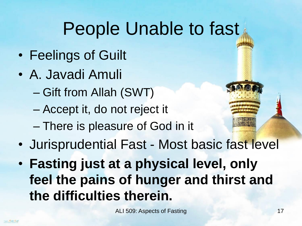## People Unable to fast

- Feelings of Guilt
- A. Javadi Amuli
	- Gift from Allah (SWT)
	- Accept it, do not reject it
	- There is pleasure of God in it
- Jurisprudential Fast Most basic fast level
- **Fasting just at a physical level, only feel the pains of hunger and thirst and the difficulties therein.**

ALI 509: Aspects of Fasting 17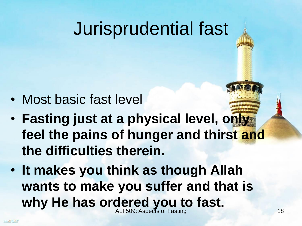#### Jurisprudential fast

- Most basic fast level
- **Fasting just at a physical level, only feel the pains of hunger and thirst and the difficulties therein.**
- **It makes you think as though Allah wants to make you suffer and that is why He has ordered you to fast.** ALI 509: Aspects of Fasting 18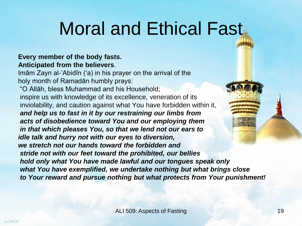# Moral and Ethical Fast

#### **Every member of the body fasts. Anticipated from the believers**.

Imām Zayn al-'Abidīn ('a) in his prayer on the arrival of the holy month of Ramadān humbly prays: "O Allāh, bless Muhammad and his Household; inspire us with knowledge of its excellence, veneration of its inviolability, and caution against what You have forbidden within it, *and help us to fast in it by our restraining our limbs from acts of disobedience toward You and our employing them in that which pleases You, so that we lend not our ears to idle talk and hurry not with our eyes to diversion, we stretch not our hands toward the forbidden and stride not with our feet toward the prohibited, our bellies hold only what You have made lawful and our tongues speak only what You have exemplified, we undertake nothing but what brings close to Your reward and pursue nothing but what protects from Your punishment!*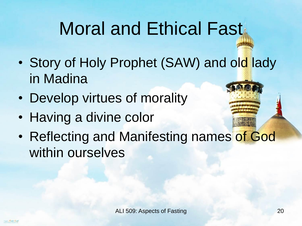# Moral and Ethical Fast

- Story of Holy Prophet (SAW) and old lady in Madina
- Develop virtues of morality
- Having a divine color
- Reflecting and Manifesting names of God within ourselves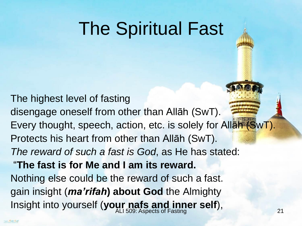#### The Spiritual Fast

The highest level of fasting disengage oneself from other than Allāh (SwT). Every thought, speech, action, etc. is solely for Allah (SwT). Protects his heart from other than Allāh (SwT). *The reward of such a fast is God*, as He has stated: "**The fast is for Me and I am its reward.** Nothing else could be the reward of such a fast. gain insight (*ma'rifah***) about God** the Almighty Insight into yourself (**your nafs and inner self**), ALI 509: Aspects of Fasting **21 21**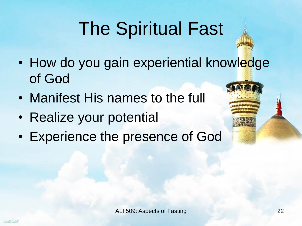# The Spiritual Fast

- How do you gain experiential knowledge of God
- Manifest His names to the full
- Realize your potential
- Experience the presence of God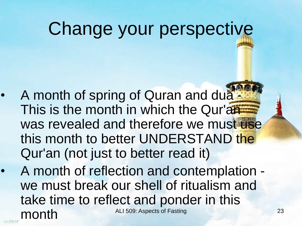# Change your perspective

- A month of spring of Quran and dua-This is the month in which the Qur'an was revealed and therefore we must use this month to better UNDERSTAND the Qur'an (not just to better read it)
- A month of reflection and contemplation we must break our shell of ritualism and take time to reflect and ponder in this month ALI 509: Aspects of Fasting 23